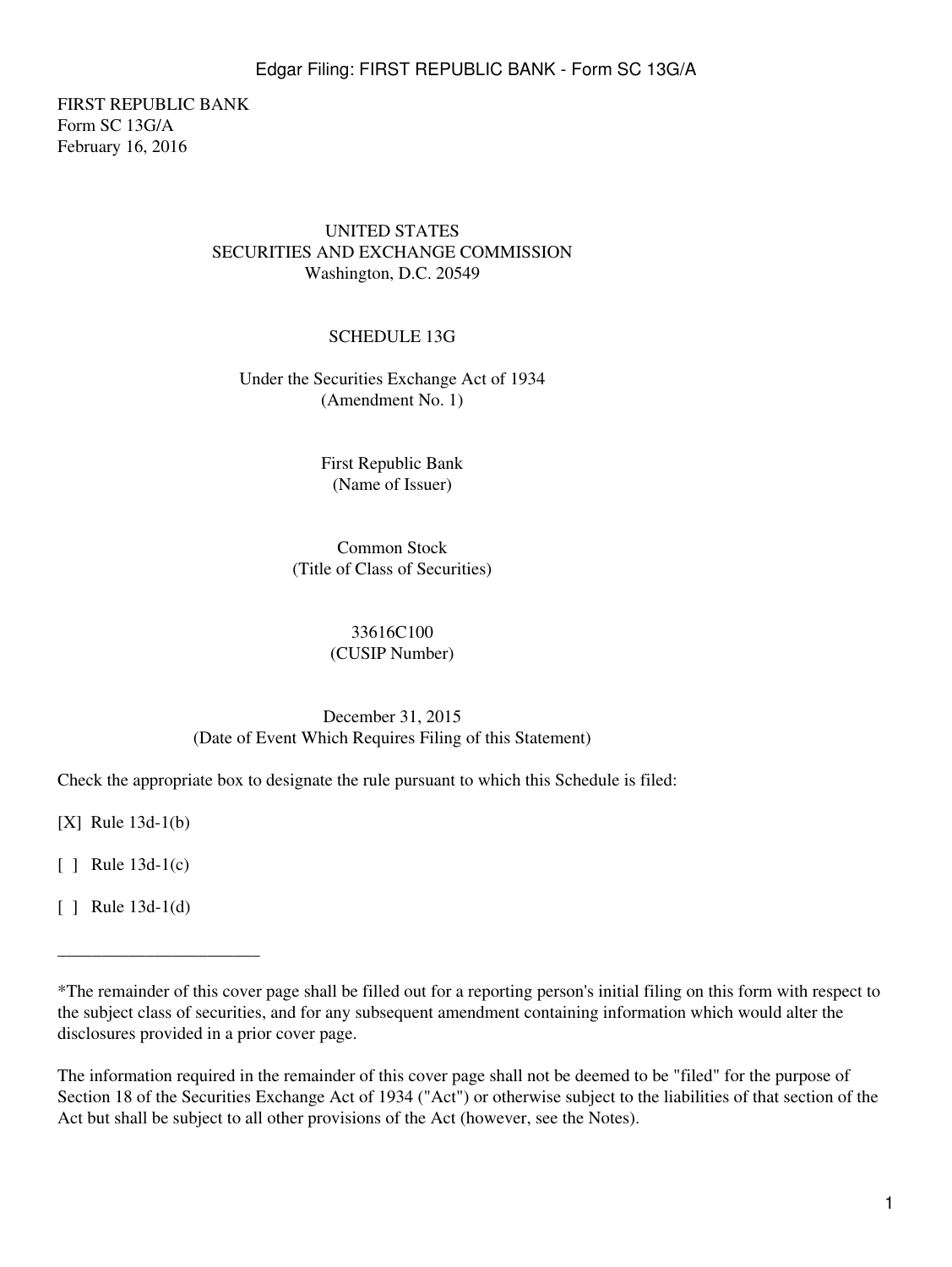FIRST REPUBLIC BANK Form SC 13G/A February 16, 2016

### UNITED STATES SECURITIES AND EXCHANGE COMMISSION Washington, D.C. 20549

### SCHEDULE 13G

Under the Securities Exchange Act of 1934 (Amendment No. 1)

> First Republic Bank (Name of Issuer)

Common Stock (Title of Class of Securities)

> 33616C100 (CUSIP Number)

# December 31, 2015 (Date of Event Which Requires Filing of this Statement)

Check the appropriate box to designate the rule pursuant to which this Schedule is filed:

[X] Rule 13d-1(b)

[ ] Rule 13d-1(c)

[ ] Rule 13d-1(d)

\_\_\_\_\_\_\_\_\_\_\_\_\_\_\_\_\_\_\_\_\_\_\_

<sup>\*</sup>The remainder of this cover page shall be filled out for a reporting person's initial filing on this form with respect to the subject class of securities, and for any subsequent amendment containing information which would alter the disclosures provided in a prior cover page.

The information required in the remainder of this cover page shall not be deemed to be "filed" for the purpose of Section 18 of the Securities Exchange Act of 1934 ("Act") or otherwise subject to the liabilities of that section of the Act but shall be subject to all other provisions of the Act (however, see the Notes).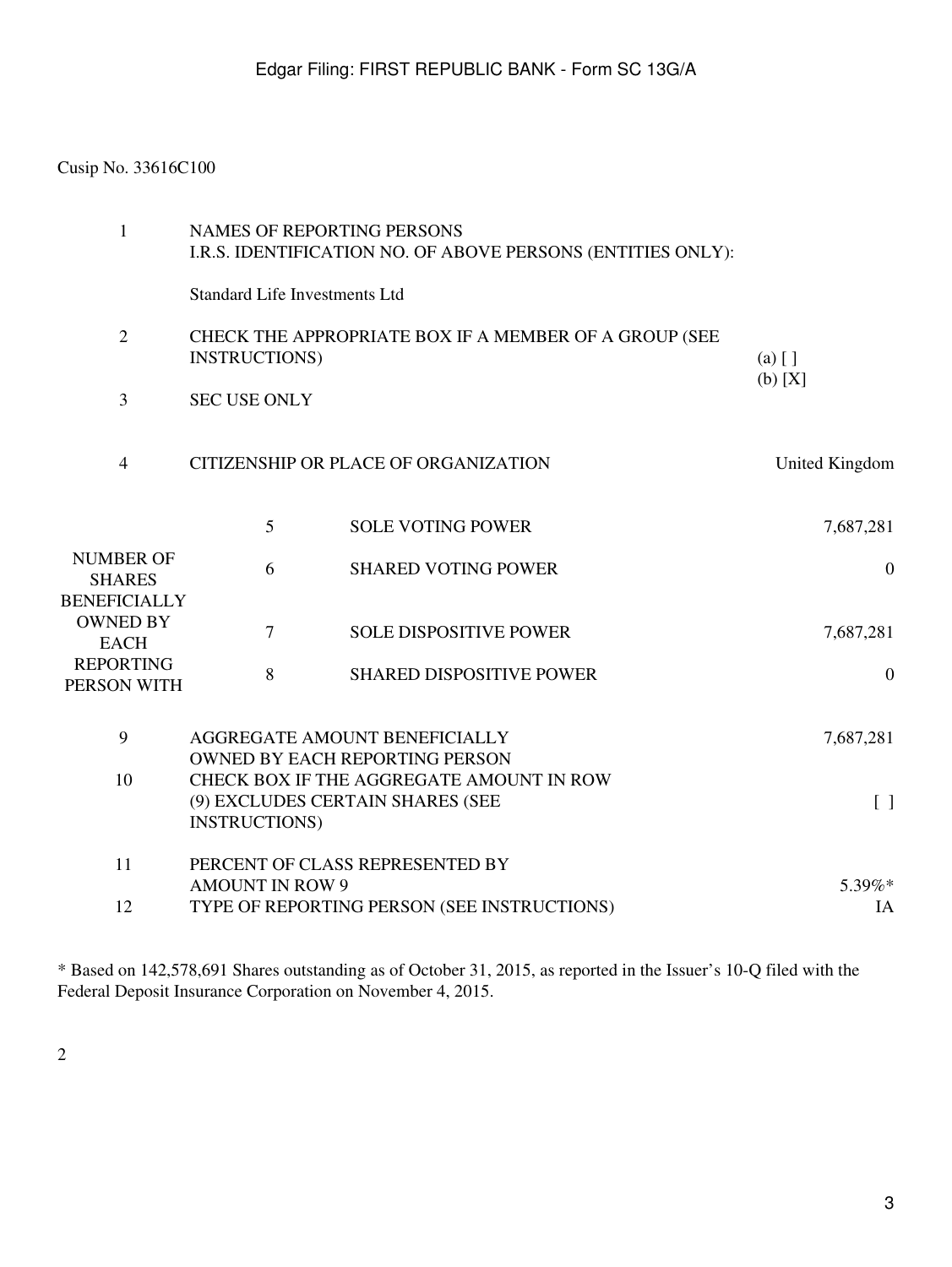# Cusip No. 33616C100

| $\mathbf{1}$                                             | <b>NAMES OF REPORTING PERSONS</b><br>I.R.S. IDENTIFICATION NO. OF ABOVE PERSONS (ENTITIES ONLY):                                           |                                 |              |
|----------------------------------------------------------|--------------------------------------------------------------------------------------------------------------------------------------------|---------------------------------|--------------|
|                                                          | <b>Standard Life Investments Ltd</b>                                                                                                       |                                 |              |
| $\overline{2}$                                           | CHECK THE APPROPRIATE BOX IF A MEMBER OF A GROUP (SEE<br><b>INSTRUCTIONS</b> )                                                             | $(a)$ []                        |              |
| 3                                                        | (b) [X]<br><b>SEC USE ONLY</b>                                                                                                             |                                 |              |
| $\overline{4}$                                           | CITIZENSHIP OR PLACE OF ORGANIZATION                                                                                                       | United Kingdom                  |              |
|                                                          | 5                                                                                                                                          | <b>SOLE VOTING POWER</b>        | 7,687,281    |
| <b>NUMBER OF</b><br><b>SHARES</b><br><b>BENEFICIALLY</b> | 6                                                                                                                                          | <b>SHARED VOTING POWER</b>      | $\mathbf{0}$ |
| <b>OWNED BY</b><br><b>EACH</b>                           | $\overline{7}$                                                                                                                             | <b>SOLE DISPOSITIVE POWER</b>   | 7,687,281    |
| <b>REPORTING</b><br>PERSON WITH                          | 8                                                                                                                                          | <b>SHARED DISPOSITIVE POWER</b> | $\mathbf{0}$ |
| 9                                                        | AGGREGATE AMOUNT BENEFICIALLY<br><b>OWNED BY EACH REPORTING PERSON</b>                                                                     | 7,687,281                       |              |
| 10                                                       | CHECK BOX IF THE AGGREGATE AMOUNT IN ROW<br>(9) EXCLUDES CERTAIN SHARES (SEE<br>$\begin{bmatrix} 1 \end{bmatrix}$<br><b>INSTRUCTIONS</b> ) |                                 |              |
| 11                                                       | PERCENT OF CLASS REPRESENTED BY                                                                                                            |                                 |              |
| 12                                                       | <b>AMOUNT IN ROW 9</b><br>5.39%*<br>TYPE OF REPORTING PERSON (SEE INSTRUCTIONS)<br>IA                                                      |                                 |              |

\* Based on 142,578,691 Shares outstanding as of October 31, 2015, as reported in the Issuer's 10-Q filed with the Federal Deposit Insurance Corporation on November 4, 2015.

2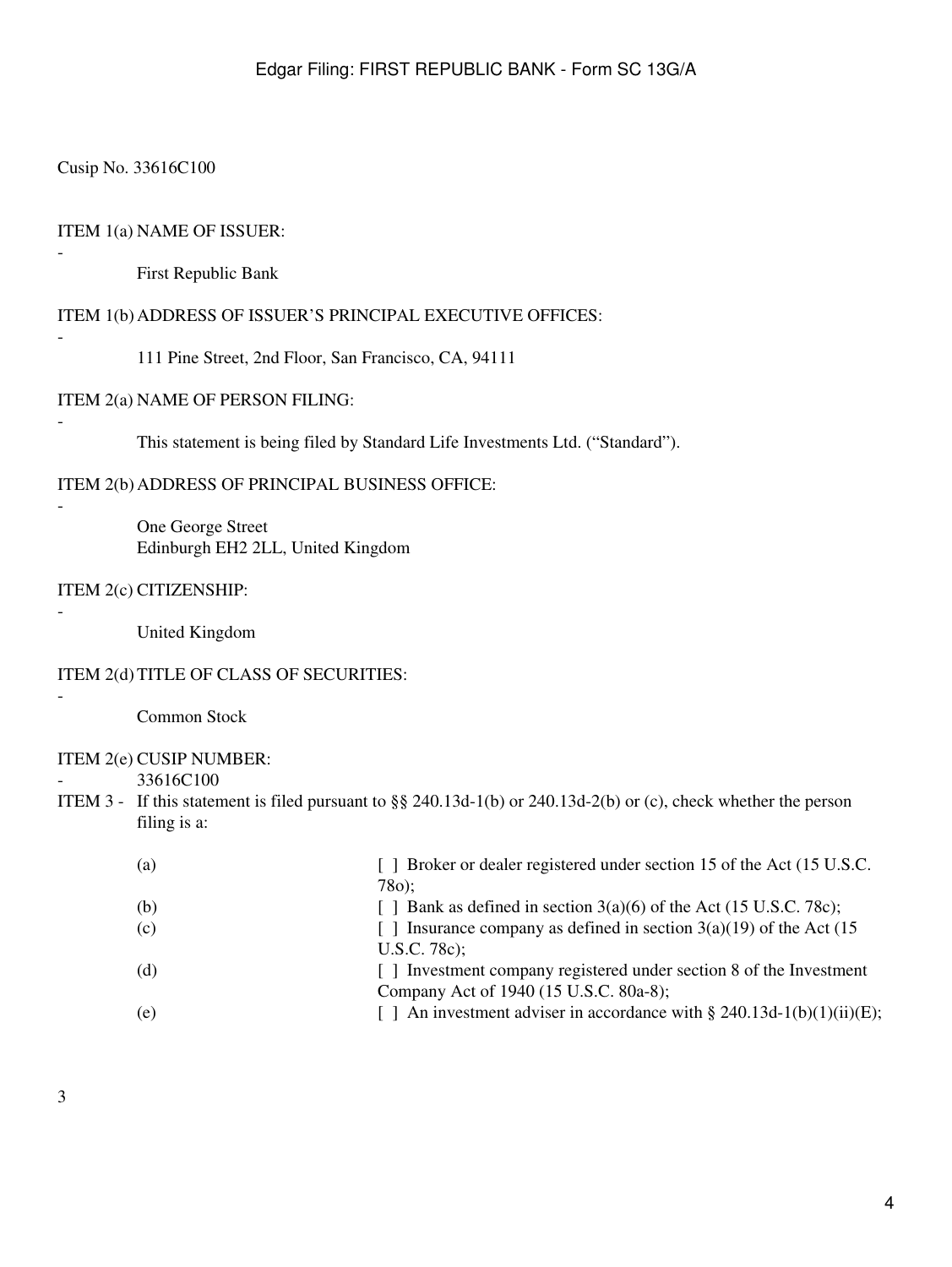### Cusip No. 33616C100

-

-

-

-

-

-

-

#### ITEM 1(a) NAME OF ISSUER:

First Republic Bank

### ITEM 1(b) ADDRESS OF ISSUER'S PRINCIPAL EXECUTIVE OFFICES:

111 Pine Street, 2nd Floor, San Francisco, CA, 94111

#### ITEM 2(a) NAME OF PERSON FILING:

This statement is being filed by Standard Life Investments Ltd. ("Standard").

ITEM 2(b) ADDRESS OF PRINCIPAL BUSINESS OFFICE:

One George Street Edinburgh EH2 2LL, United Kingdom

#### ITEM 2(c) CITIZENSHIP:

United Kingdom

#### ITEM 2(d) TITLE OF CLASS OF SECURITIES:

Common Stock

#### ITEM 2(e) CUSIP NUMBER:

33616C100

ITEM 3 - If this statement is filed pursuant to §§ 240.13d-1(b) or 240.13d-2(b) or (c), check whether the person filing is a:

| (a) | [ ] Broker or dealer registered under section 15 of the Act (15 U.S.C.            |
|-----|-----------------------------------------------------------------------------------|
|     | 78o):                                                                             |
| (b) | [ ] Bank as defined in section $3(a)(6)$ of the Act (15 U.S.C. 78c);              |
| (c) | Insurance company as defined in section $3(a)(19)$ of the Act (15<br>$\mathbf{1}$ |
|     | $U.S.C. 78c$ ;                                                                    |
| (d) | [] Investment company registered under section 8 of the Investment                |
|     | Company Act of 1940 (15 U.S.C. 80a-8);                                            |
| (e) | [ ] An investment adviser in accordance with § 240.13d-1(b)(1)(ii)(E);            |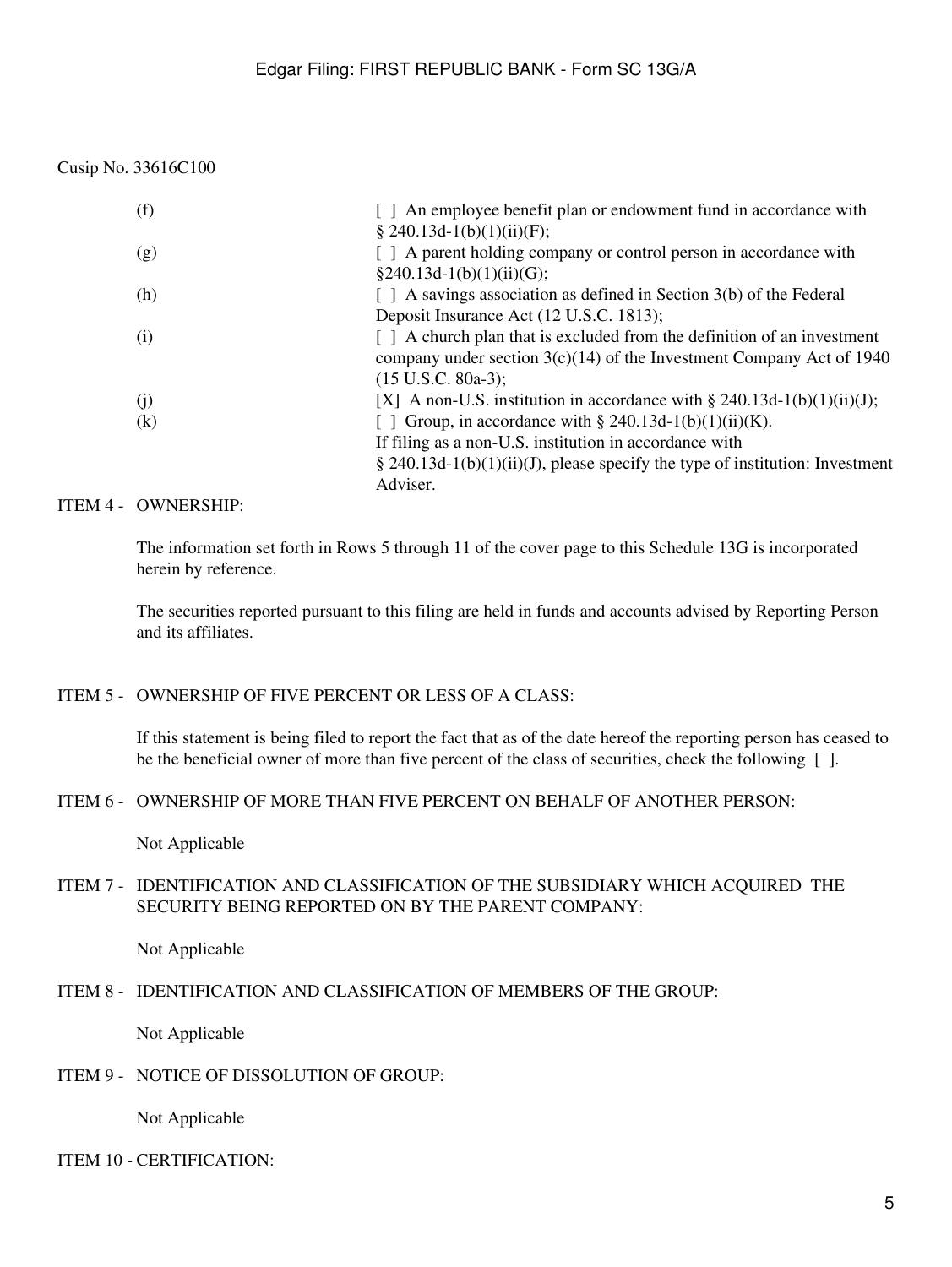Cusip No. 33616C100

| (f) | An employee benefit plan or endowment fund in accordance with                  |
|-----|--------------------------------------------------------------------------------|
|     | $\S$ 240.13d-1(b)(1)(ii)(F);                                                   |
| (g) | [ ] A parent holding company or control person in accordance with              |
|     | $§240.13d-1(b)(1)(ii)(G);$                                                     |
| (h) | $\lceil$   A savings association as defined in Section 3(b) of the Federal     |
|     | Deposit Insurance Act (12 U.S.C. 1813);                                        |
| (i) | $\lceil$   A church plan that is excluded from the definition of an investment |
|     | company under section $3(c)(14)$ of the Investment Company Act of 1940         |
|     | $(15 \text{ U.S.C. } 80a-3);$                                                  |
| (j) | [X] A non-U.S. institution in accordance with $\S 240.13d-1(b)(1)(ii)(J);$     |
| (k) | [ ] Group, in accordance with § 240.13d-1(b)(1)(ii)(K).                        |
|     | If filing as a non-U.S. institution in accordance with                         |
|     | § 240.13d-1(b)(1)(ii)(J), please specify the type of institution: Investment   |
|     | Adviser.                                                                       |

### ITEM 4 - OWNERSHIP:

The information set forth in Rows 5 through 11 of the cover page to this Schedule 13G is incorporated herein by reference.

The securities reported pursuant to this filing are held in funds and accounts advised by Reporting Person and its affiliates.

# ITEM 5 - OWNERSHIP OF FIVE PERCENT OR LESS OF A CLASS:

If this statement is being filed to report the fact that as of the date hereof the reporting person has ceased to be the beneficial owner of more than five percent of the class of securities, check the following [ ].

### ITEM 6 - OWNERSHIP OF MORE THAN FIVE PERCENT ON BEHALF OF ANOTHER PERSON:

Not Applicable

# ITEM 7 - IDENTIFICATION AND CLASSIFICATION OF THE SUBSIDIARY WHICH ACQUIRED THE SECURITY BEING REPORTED ON BY THE PARENT COMPANY:

Not Applicable

# ITEM 8 - IDENTIFICATION AND CLASSIFICATION OF MEMBERS OF THE GROUP:

Not Applicable

# ITEM 9 - NOTICE OF DISSOLUTION OF GROUP:

Not Applicable

# ITEM 10 - CERTIFICATION: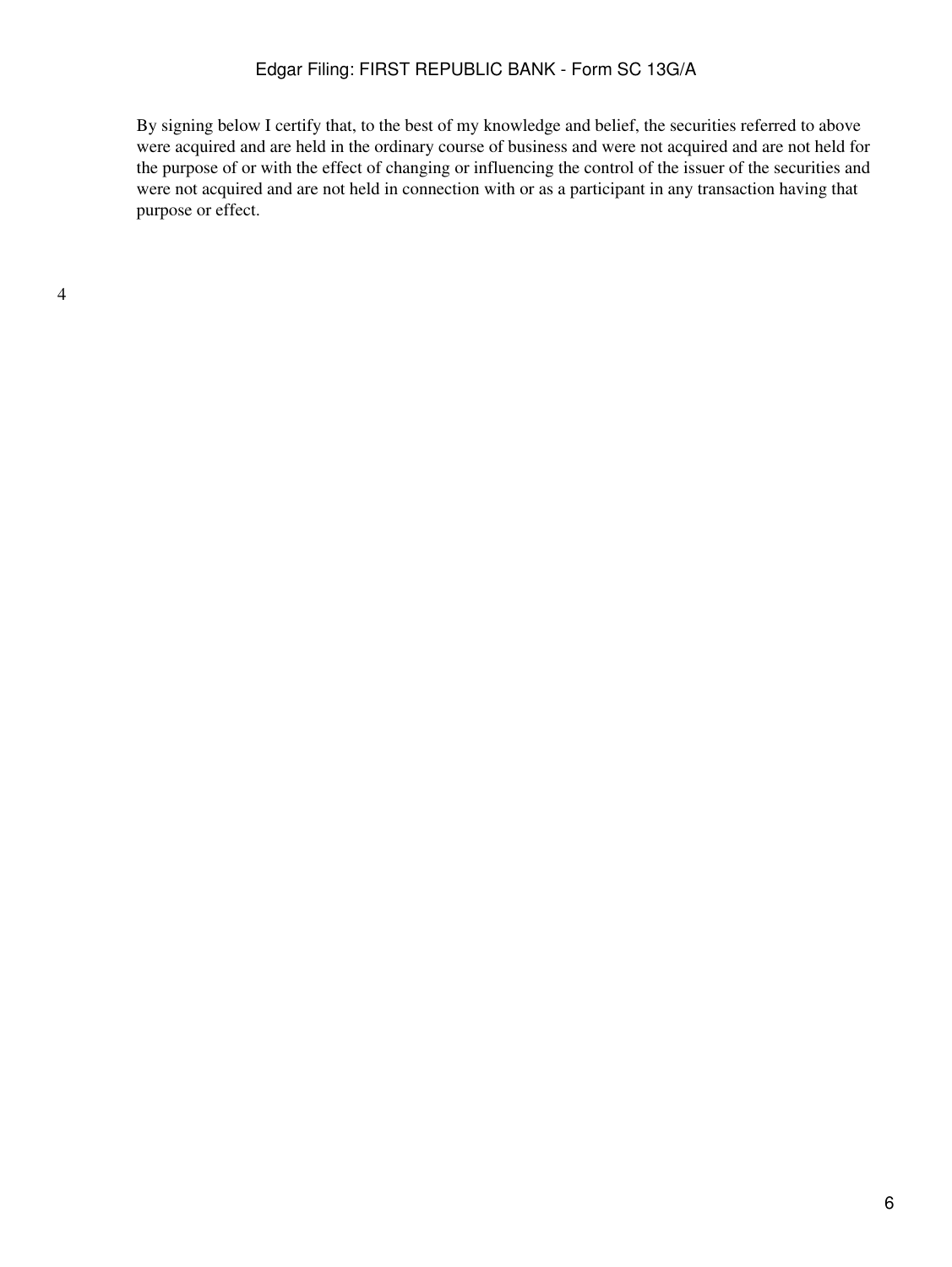### Edgar Filing: FIRST REPUBLIC BANK - Form SC 13G/A

By signing below I certify that, to the best of my knowledge and belief, the securities referred to above were acquired and are held in the ordinary course of business and were not acquired and are not held for the purpose of or with the effect of changing or influencing the control of the issuer of the securities and were not acquired and are not held in connection with or as a participant in any transaction having that purpose or effect.